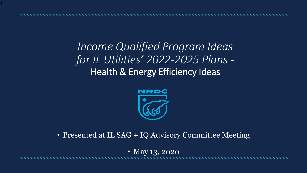*Income Qualified Program Ideas for IL Utilities' 2022-2025 Plans -* Health & Energy Efficiency Ideas

1



• Presented at IL SAG + IQ Advisory Committee Meeting

• May 13, 2020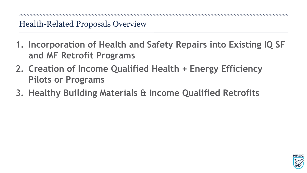- **1. Incorporation of Health and Safety Repairs into Existing IQ SF and MF Retrofit Programs**
- **2. Creation of Income Qualified Health + Energy Efficiency Pilots or Programs**
- **3. Healthy Building Materials & Income Qualified Retrofits**

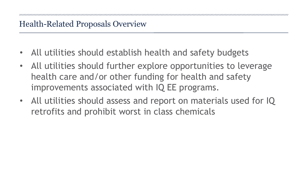- All utilities should establish health and safety budgets
- All utilities should further explore opportunities to leverage health care and/or other funding for health and safety improvements associated with IQ EE programs.
- All utilities should assess and report on materials used for IQ retrofits and prohibit worst in class chemicals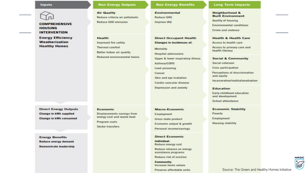#### **Inputs**

**MMMW** 

### **COMPREHENSIVE HOUSING INTERVENTION**

Weatherization

# **Energy Efficiency**

**Healthy Homes** 

**Direct Energy Outputs** Change in kWh supplied Change in kWh consumed

**Energy Benefits** Reduce energy demand **Demonstrate leadership** 

#### **Non Energy Outputs**

**Air Quality** Reduce criteria air pollutants **Reduce GHG emission** 

#### Health Improved fire safety Thermal comfort Better Indoor air quality Reduced environmental toxins

Economic

Program costs

**Sector transfers** 

Displacements savings from

energy cost and waste heat

**Direct Occupant Health Changes in incidences of:** Mortality **Hospital admissions** Upper & lower respiratory illness Asthma/COPD Lead poisoning Cancer Skin and eye irratation Cardio-vascular disease

**Non Energy Benefits** 

**Environmental** 

Reduce GHG

Improve IAQ

Depression and anxiety

#### Macro-Economic

Employment Gross state product Economic output & growth Personal income/savings

**Direct Economic** Individual: Reduce energy cost

Reduce reliance on energy assistance programs

Reduce risk of eviction

Community: Increase home values

Preserve affordable units

#### **Long Term Impacts**

Neighborhood & **Built Environment** Quality of housing Environmental conditions Crime and violence

**Health & Health Care** 

Access to health care

Access to primary care and health literacy

**Social & Community** 

Social cohesion

Civic participation

Perceptions of discrimination and equity

Incarceration/institutionalization

**Education** 

Early childhood education and development

School attendance

#### **Economic Stability** Poverty Employment **Housing stability**



**NNNNNN** 

Source: The Green and Healthy Homes Initiative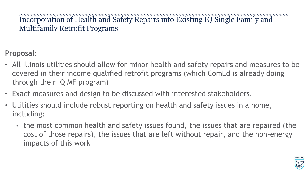Incorporation of Health and Safety Repairs into Existing IQ Single Family and Multifamily Retrofit Programs

### **Proposal:**

- All Illinois utilities should allow for minor health and safety repairs and measures to be covered in their income qualified retrofit programs (which ComEd is already doing through their IQ MF program)
- Exact measures and design to be discussed with interested stakeholders.
- Utilities should include robust reporting on health and safety issues in a home, including:
	- the most common health and safety issues found, the issues that are repaired (the cost of those repairs), the issues that are left without repair, and the non-energy impacts of this work

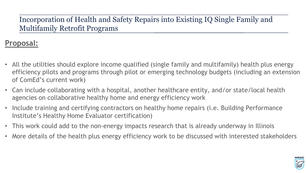## Incorporation of Health and Safety Repairs into Existing IQ Single Family and Multifamily Retrofit Programs

## **Proposal:**

- All the utilities should explore income qualified (single family and multifamily) health plus energy efficiency pilots and programs through pilot or emerging technology budgets (including an extension of ComEd's current work)
- Can include collaborating with a hospital, another healthcare entity, and/or state/local health agencies on collaborative healthy home and energy efficiency work
- Include training and certifying contractors on healthy home repairs (i.e. Building Performance Institute's Healthy Home Evaluator certification)
- This work could add to the non-energy impacts research that is already underway in Illinois
- More details of the health plus energy efficiency work to be discussed with interested stakeholders

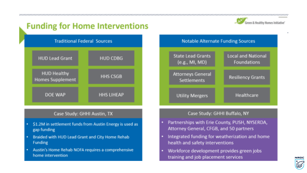# **Funding for Home Interventions**



**NRDC** 



### Case Study: GHHI Austin, TX

- \$1.2M in settlement funds from Austin Energy is used as gap funding
- Braided with HUD Lead Grant and City Home Rehab ij. Funding
- Austin's Home Rehab NOFA requires a comprehensive  $\bar{\mathbf{u}}$ home intervention



### Case Study: GHHI Buffalo, NY

- Partnerships with Erie County, PUSH, NYSERDA, Attorney General, CFGB, and 50 partners
- Integrated funding for weatherization and home health and safety interventions
- Workforce development provides green jobs o training and job placement services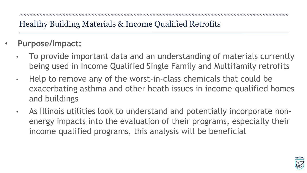- **Purpose/Impact:**
	- To provide important data and an understanding of materials currently being used in Income Qualified Single Family and Multifamily retrofits
	- Help to remove any of the worst-in-class chemicals that could be exacerbating asthma and other heath issues in income-qualified homes and buildings
	- As Illinois utilities look to understand and potentially incorporate nonenergy impacts into the evaluation of their programs, especially their income qualified programs, this analysis will be beneficial

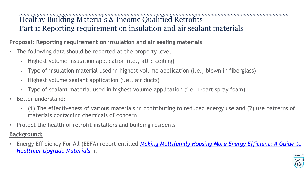Healthy Building Materials & Income Qualified Retrofits – Part 1: Reporting requirement on insulation and air sealant materials

**Proposal: Reporting requirement on insulation and air sealing materials**

- The following data should be reported at the property level:
	- Highest volume insulation application (i.e., attic ceiling)
	- Type of insulation material used in highest volume application (i.e., blown in fiberglass)
	- Highest volume sealant application (i.e., air ducts)
	- Type of sealant material used in highest volume application (i.e. 1-part spray foam)
- Better understand:
	- (1) The effectiveness of various materials in contributing to reduced energy use and (2) use patterns of materials containing chemicals of concern
- Protect the health of retrofit installers and building residents

### **Background:**

• Energy Efficiency For All (EEFA) report entitled *[Making Multifamily Housing More Energy Efficient: A Guide to](https://assets.ctfassets.net/ntcn17ss1ow9/3Bw3JFqYHgI7xWcvb7unwN/ec90d476bc2fd1315fb018eeeb467978/NRDC-3084_Guide_to_Healthier_Retrofit_Hi-res_smaller.pdf)  Healthier Upgrade Materials* r.

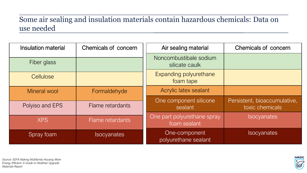# Some air sealing and insulation materials contain hazardous chemicals: Data on use needed

| <b>Insulation material</b> | Chemicals of concern | Air sealing material                        | <b>Chemicals of concern</b>                     |
|----------------------------|----------------------|---------------------------------------------|-------------------------------------------------|
| Fiber glass                |                      | Noncombustibale sodium<br>silicate caulk    |                                                 |
| Cellulose                  |                      | <b>Expanding polyurethane</b><br>foam tape  |                                                 |
| Mineral wool               | Formaldehyde         | Acrylic latex sealant                       |                                                 |
| Polyiso and EPS            | Flame retardants     | One component silicone<br>sealant           | Persistent, bioaccumulative,<br>toxic chemicals |
| <b>XPS</b>                 | Flame retardants     | One part polyurethane spray<br>foam sealant | <b>Isocyanates</b>                              |
| Spray foam                 | <b>Isocyanates</b>   | One-component<br>polyurethane sealant       | <b>Isocyanates</b>                              |

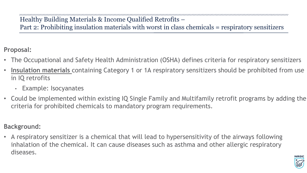Healthy Building Materials & Income Qualified Retrofits – Part 2: Prohibiting insulation materials with worst in class chemicals = respiratory sensitizers

**Proposal:** 

- The Occupational and Safety Health Administration (OSHA) defines criteria for respiratory sensitizers
- **Insulation materials** containing Category 1 or 1A respiratory sensitizers should be prohibited from use in IQ retrofits
	- Example: Isocyanates
- Could be implemented within existing IQ Single Family and Multifamily retrofit programs by adding the criteria for prohibited chemicals to mandatory program requirements.

### **Background:**

• A respiratory sensitizer is a chemical that will lead to hypersensitivity of the airways following inhalation of the chemical. It can cause diseases such as asthma and other allergic respiratory diseases.

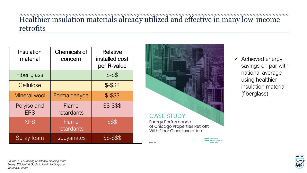### www.community.com/www.community.com/www.community.com/www.community.com/www.community.com/www.community.com/ww Healthier insulation materials already utilized and effective in many low-income retrofits

AUGUST 20

| Insulation<br>material    | <b>Chemicals of</b><br>concern | <b>Relative</b><br>installed cost<br>per R-value |
|---------------------------|--------------------------------|--------------------------------------------------|
| Fiber glass               |                                | $$ - $$                                          |
| Cellulose                 |                                | \$-\$\$\$                                        |
| <b>Mineral wool</b>       | Formaldehyde                   | $$ - $ $$                                        |
| Polyiso and<br><b>EPS</b> | <b>Flame</b><br>retardants     | \$\$-\$\$\$                                      |
| <b>XPS</b>                | Flame<br>retardants            | \$\$\$                                           |
| Spray foam                | <b>Isocyanates</b>             | \$\$-\$\$\$                                      |



✓ Achieved energy savings on par with national average using healthier insulation material (fiberglass)